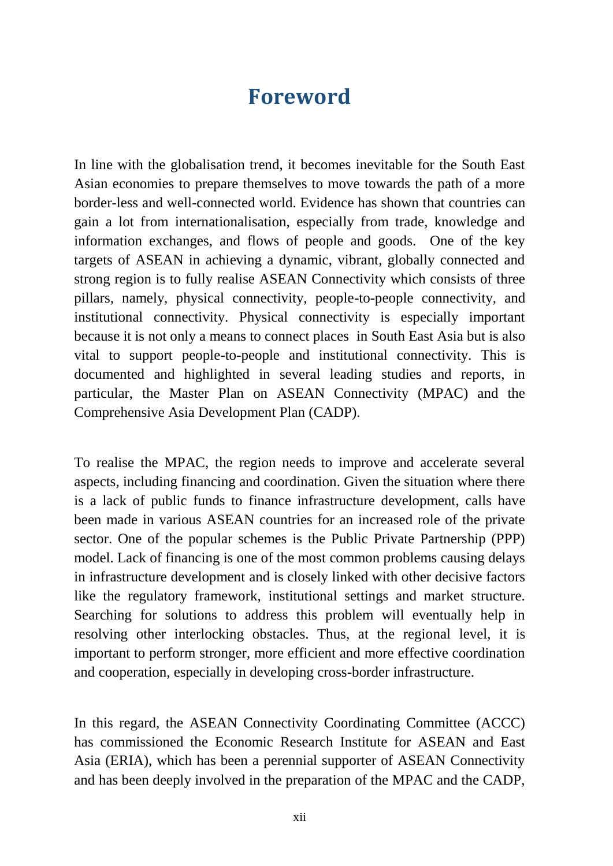## **Foreword**

In line with the globalisation trend, it becomes inevitable for the South East Asian economies to prepare themselves to move towards the path of a more border-less and well-connected world. Evidence has shown that countries can gain a lot from internationalisation, especially from trade, knowledge and information exchanges, and flows of people and goods. One of the key targets of ASEAN in achieving a dynamic, vibrant, globally connected and strong region is to fully realise ASEAN Connectivity which consists of three pillars, namely, physical connectivity, people-to-people connectivity, and institutional connectivity. Physical connectivity is especially important because it is not only a means to connect places in South East Asia but is also vital to support people-to-people and institutional connectivity. This is documented and highlighted in several leading studies and reports, in particular, the Master Plan on ASEAN Connectivity (MPAC) and the Comprehensive Asia Development Plan (CADP).

To realise the MPAC, the region needs to improve and accelerate several aspects, including financing and coordination. Given the situation where there is a lack of public funds to finance infrastructure development, calls have been made in various ASEAN countries for an increased role of the private sector. One of the popular schemes is the Public Private Partnership (PPP) model. Lack of financing is one of the most common problems causing delays in infrastructure development and is closely linked with other decisive factors like the regulatory framework, institutional settings and market structure. Searching for solutions to address this problem will eventually help in resolving other interlocking obstacles. Thus, at the regional level, it is important to perform stronger, more efficient and more effective coordination and cooperation, especially in developing cross-border infrastructure.

In this regard, the ASEAN Connectivity Coordinating Committee (ACCC) has commissioned the Economic Research Institute for ASEAN and East Asia (ERIA), which has been a perennial supporter of ASEAN Connectivity and has been deeply involved in the preparation of the MPAC and the CADP,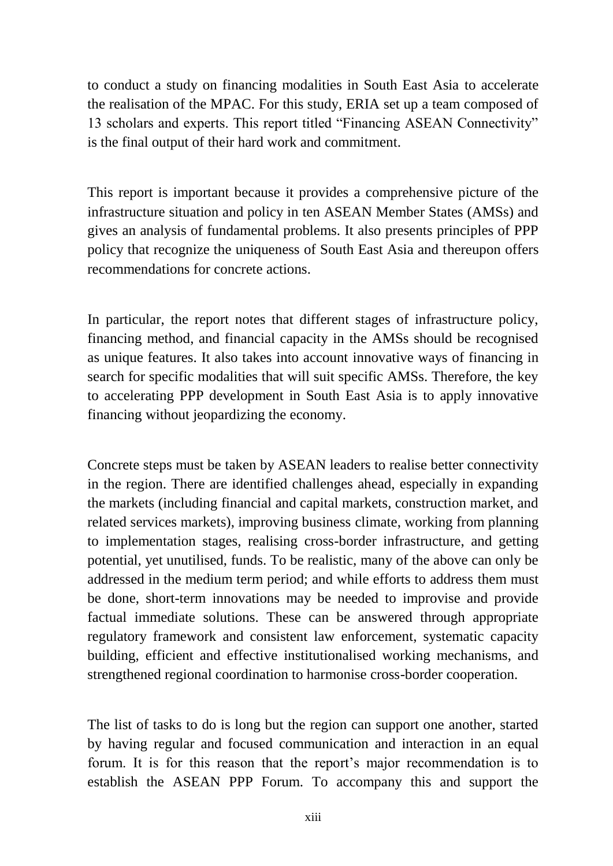to conduct a study on financing modalities in South East Asia to accelerate the realisation of the MPAC. For this study, ERIA set up a team composed of 13 scholars and experts. This report titled "Financing ASEAN Connectivity" is the final output of their hard work and commitment.

This report is important because it provides a comprehensive picture of the infrastructure situation and policy in ten ASEAN Member States (AMSs) and gives an analysis of fundamental problems. It also presents principles of PPP policy that recognize the uniqueness of South East Asia and thereupon offers recommendations for concrete actions.

In particular, the report notes that different stages of infrastructure policy, financing method, and financial capacity in the AMSs should be recognised as unique features. It also takes into account innovative ways of financing in search for specific modalities that will suit specific AMSs. Therefore, the key to accelerating PPP development in South East Asia is to apply innovative financing without jeopardizing the economy.

Concrete steps must be taken by ASEAN leaders to realise better connectivity in the region. There are identified challenges ahead, especially in expanding the markets (including financial and capital markets, construction market, and related services markets), improving business climate, working from planning to implementation stages, realising cross-border infrastructure, and getting potential, yet unutilised, funds. To be realistic, many of the above can only be addressed in the medium term period; and while efforts to address them must be done, short-term innovations may be needed to improvise and provide factual immediate solutions. These can be answered through appropriate regulatory framework and consistent law enforcement, systematic capacity building, efficient and effective institutionalised working mechanisms, and strengthened regional coordination to harmonise cross-border cooperation.

The list of tasks to do is long but the region can support one another, started by having regular and focused communication and interaction in an equal forum. It is for this reason that the report's major recommendation is to establish the ASEAN PPP Forum. To accompany this and support the